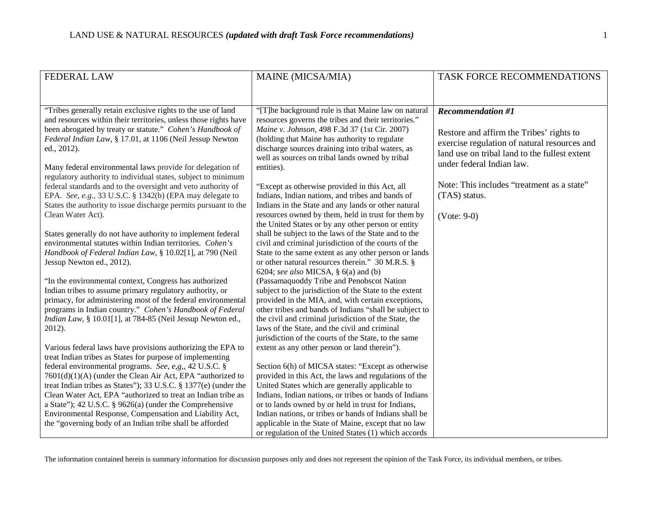| <b>FEDERAL LAW</b>                                                                                                               | MAINE (MICSA/MIA)                                                                                               | TASK FORCE RECOMMENDATIONS                                                 |
|----------------------------------------------------------------------------------------------------------------------------------|-----------------------------------------------------------------------------------------------------------------|----------------------------------------------------------------------------|
|                                                                                                                                  |                                                                                                                 |                                                                            |
| "Tribes generally retain exclusive rights to the use of land<br>and resources within their territories, unless those rights have | "[T]he background rule is that Maine law on natural<br>resources governs the tribes and their territories."     | <b>Recommendation #1</b>                                                   |
| been abrogated by treaty or statute." Cohen's Handbook of                                                                        | Maine v. Johnson, 498 F.3d 37 (1st Cir. 2007)                                                                   | Restore and affirm the Tribes' rights to                                   |
| Federal Indian Law, § 17.01, at 1106 (Neil Jessup Newton<br>ed., 2012).                                                          | (holding that Maine has authority to regulate<br>discharge sources draining into tribal waters, as              | exercise regulation of natural resources and                               |
| Many federal environmental laws provide for delegation of                                                                        | well as sources on tribal lands owned by tribal<br>entities).                                                   | land use on tribal land to the fullest extent<br>under federal Indian law. |
| regulatory authority to individual states, subject to minimum                                                                    |                                                                                                                 |                                                                            |
| federal standards and to the oversight and veto authority of<br>EPA. See, e.g., 33 U.S.C. § 1342(b) (EPA may delegate to         | "Except as otherwise provided in this Act, all<br>Indians, Indian nations, and tribes and bands of              | Note: This includes "treatment as a state"<br>(TAS) status.                |
| States the authority to issue discharge permits pursuant to the                                                                  | Indians in the State and any lands or other natural                                                             |                                                                            |
| Clean Water Act).                                                                                                                | resources owned by them, held in trust for them by<br>the United States or by any other person or entity        | $(Note: 9-0)$                                                              |
| States generally do not have authority to implement federal<br>environmental statutes within Indian territories. Cohen's         | shall be subject to the laws of the State and to the<br>civil and criminal jurisdiction of the courts of the    |                                                                            |
| Handbook of Federal Indian Law, § 10.02[1], at 790 (Neil                                                                         | State to the same extent as any other person or lands                                                           |                                                                            |
| Jessup Newton ed., 2012).                                                                                                        | or other natural resources therein." 30 M.R.S. §<br>6204; see also MICSA, § 6(a) and (b)                        |                                                                            |
| "In the environmental context, Congress has authorized                                                                           | (Passamaquoddy Tribe and Penobscot Nation                                                                       |                                                                            |
| Indian tribes to assume primary regulatory authority, or<br>primacy, for administering most of the federal environmental         | subject to the jurisdiction of the State to the extent<br>provided in the MIA, and, with certain exceptions,    |                                                                            |
| programs in Indian country." Cohen's Handbook of Federal<br>Indian Law, § 10.01[1], at 784-85 (Neil Jessup Newton ed.,           | other tribes and bands of Indians "shall be subject to<br>the civil and criminal jurisdiction of the State, the |                                                                            |
| 2012).                                                                                                                           | laws of the State, and the civil and criminal                                                                   |                                                                            |
| Various federal laws have provisions authorizing the EPA to                                                                      | jurisdiction of the courts of the State, to the same<br>extent as any other person or land therein").           |                                                                            |
| treat Indian tribes as States for purpose of implementing                                                                        |                                                                                                                 |                                                                            |
| federal environmental programs. See, e,g,, 42 U.S.C. §<br>7601(d)(1)(A) (under the Clean Air Act, EPA "authorized to             | Section 6(h) of MICSA states: "Except as otherwise<br>provided in this Act, the laws and regulations of the     |                                                                            |
| treat Indian tribes as States"); 33 U.S.C. § 1377(e) (under the<br>Clean Water Act, EPA "authorized to treat an Indian tribe as  | United States which are generally applicable to<br>Indians, Indian nations, or tribes or bands of Indians       |                                                                            |
| a State"); 42 U.S.C. § 9626(a) (under the Comprehensive                                                                          | or to lands owned by or held in trust for Indians,                                                              |                                                                            |
| Environmental Response, Compensation and Liability Act,<br>the "governing body of an Indian tribe shall be afforded              | Indian nations, or tribes or bands of Indians shall be<br>applicable in the State of Maine, except that no law  |                                                                            |
|                                                                                                                                  | or regulation of the United States (1) which accords                                                            |                                                                            |

The information contained herein is summary information for discussion purposes only and does not represent the opinion of the Task Force, its individual members, or tribes.